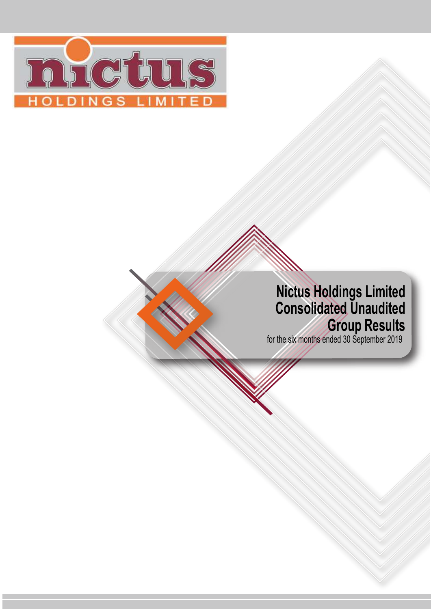

# **Nictus Holdings Limited Consolidated Unaudited Group Results**

for the six months ended 30 September 2019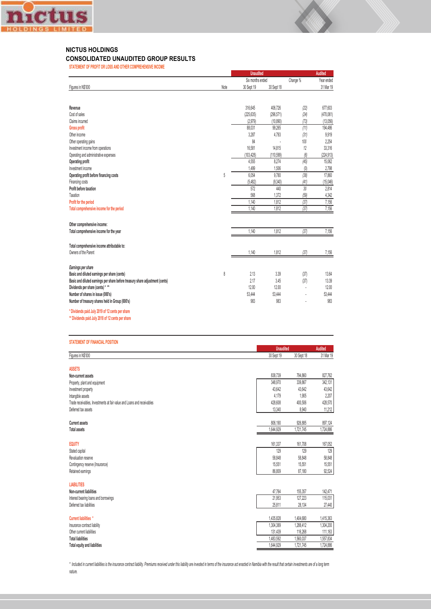

#### **NICTUS HOLDINGS**

#### **CONSOLIDATED UNAUDITED GROUP RESULTS**

**STATEMENT OF PROFIT OR LOSS AND OTHER COMPREHENSIVE INCOME**

|                                                                               |      | <b>Unaudited</b>  |                     |             | <b>Audited</b>       |  |
|-------------------------------------------------------------------------------|------|-------------------|---------------------|-------------|----------------------|--|
|                                                                               |      | Six months ended  |                     | Change %    | Year ended           |  |
| Figures in N\$'000                                                            | Note | 30 Sept 19        | 30 Sept 18          |             | 31 Mar 19            |  |
|                                                                               |      |                   |                     |             |                      |  |
|                                                                               |      |                   |                     |             |                      |  |
| Revenue<br>Cost of sales                                                      |      | 316.645           | 406.726             | (22)        | 677,603              |  |
| Claims incurred                                                               |      | (225, 635)        | (296, 571)          | (24)        | (470,061)            |  |
|                                                                               |      | (2,979)<br>88,031 | (10, 890)<br>99,265 | (73)        | (13,056)<br>194,486  |  |
| <b>Gross profit</b><br>Other income                                           |      | 3,287             |                     | (11)        |                      |  |
|                                                                               |      | 84                | 4,793               | (31)<br>100 | 9,919<br>2,254       |  |
| Other operating gains                                                         |      | 16,581            | 14,815              | 12          | 33,316               |  |
| Investment income from operations                                             |      | (103, 428)        |                     | (6)         |                      |  |
| Operating and administrative expenses                                         |      | 4,555             | (110, 599)<br>8,274 | (45)        | (224, 913)<br>15,062 |  |
| Operating profit<br>Investment income                                         |      |                   |                     |             |                      |  |
|                                                                               | 5    | 1,499<br>6.054    | 1,506<br>9,780      | (0)<br>(38) | 2,798<br>17,860      |  |
| Operating profit before financing costs                                       |      | (5, 482)          | (9,340)             | (41)        | (15.046)             |  |
| Financing costs<br>Profit before taxation                                     |      | 572               | 440                 | 30          | 2.814                |  |
| Taxation                                                                      |      | 568               | 1,372               | (59)        | 4,342                |  |
| Profit for the period                                                         |      | 1,140             | 1,812               | (37)        | 7,156                |  |
| Total comprehensive income for the period                                     |      | 1,140             | 1,812               | (37)        | 7,156                |  |
|                                                                               |      |                   |                     |             |                      |  |
|                                                                               |      |                   |                     |             |                      |  |
| Other comprehensive income:                                                   |      |                   |                     |             |                      |  |
| Total comprehensive income for the year                                       |      | 1,140             | 1,812               | (37)        | 7,156                |  |
|                                                                               |      |                   |                     |             |                      |  |
| Total comprehensive income attributable to:                                   |      |                   |                     |             |                      |  |
| Owners of the Parent                                                          |      | 1,140             | 1,812               | (37)        | 7,156                |  |
|                                                                               |      |                   |                     |             |                      |  |
| Earnings per share                                                            |      |                   |                     |             |                      |  |
| Basic and diluted earnings per share (cents)                                  | 8    | 2.13              | 3.39                | (37)        | 13.64                |  |
| Basic and diluted earnings per share before treasury share adjustment (cents) |      | 2.17              | 3.45                | (37)        | 13.39                |  |
| Dividends per share (cents) * **                                              |      | 12.00             | 12.00               | í,          | 12.00                |  |
| Number of shares in issue (000's)                                             |      | 53.444            | 53.444              | ä,          | 53,444               |  |
| Number of treasury shares held in Group (000's)                               |      | 983               | 983                 |             | 983                  |  |
| * Dividends paid July 2019 of 12 cents per share                              |      |                   |                     |             |                      |  |
| ** Dividends paid July 2018 of 12 cents per share                             |      |                   |                     |             |                      |  |
|                                                                               |      |                   |                     |             |                      |  |
|                                                                               |      |                   |                     |             |                      |  |
| <b>STATEMENT OF FINANCIAL POSITION</b>                                        |      |                   |                     |             |                      |  |
|                                                                               |      |                   | <b>Unaudited</b>    |             | <b>Audited</b>       |  |
| Figures in N\$'000                                                            |      |                   | 30 Sept 19          | 30 Sept 18  | 31 Mar 19            |  |
| <b>ASSETS</b>                                                                 |      |                   |                     |             |                      |  |
| Non-current assets                                                            |      |                   | 838.739             | 794.860     | 827,762              |  |
| Property plant and equipment                                                  |      |                   | 348.970             | 339.867     | 342.131              |  |

Property, plant and equipment 348,970 339,867 342,131 Investment property 43,642 43,642 43,642 Intangible assets 4,179 1,905 2,207 Trade receivables, Investments at fair value and Loans and receivables 428,570 and 1212 428,670 428,570 428,570 428,570 428,570 428,570 428,570 428,570 428,570 428,570 428,570 428,570 428,570 428,570 428,570 428,570 428,57 Deferred tax assets 13,340 8,940 11,212 **Current assets** 806,190 926,885 897,124 **Total assets** 1,644,929 1,721,745 1,724,886 **EQUITY** 161,337 161,708 167,052 Stated capital 129 129 129 Revaluation reserve 58,048 58,848 58,848 58,848 58,848 58,848 58,848 58,848 58,848 58,848 58,848 58,848 58,848 Contingency reserve (Insurance) 15,551 15,551 15,551 15,551 15,551 15,551 15,551 15,551 15,551 15,551 15,551 15,551 15,551 15,551 15,551 15,551 15,551 15,551 15,551 15,551 15,551 15,551 15,551 15,551 15,551 15,551 15,551 1 Retained earnings 86,180 87,180 92,524 87,180 92,524 87,180 92,524 92,524 87,180 92,524 92,524 87,180 92,524 9 **LIABILITIES Non-current liabilities** 47,764 155,357 142,471 Interest bearing loans and borrowings and borrowings and borrowing and the company of the company of the company of the company of the company of the company of the company of the company of the company of the company of t Deferred tax liabilities 25,811 28,134

| Current liabilities *        | 1.435.828 | 404.680   | 1.415.363 |
|------------------------------|-----------|-----------|-----------|
| Insurance contract liability | 1.304.389 | 1.288.412 | 1,304,200 |
| Other current liabilities    | 131.439   | 116.268   | 111.163   |
| <b>Total liabilities</b>     | 1.483.592 | 1.560.037 | .557.834  |
| Total equity and liabilities | 1.644.929 | .721.745  | .724.886  |

\* Included in current liabilities is the insurance contract liability. Premiums received under this liability are invested in terms of the insurance act enacted in Namibia with the result that certain investments are of a *nature.*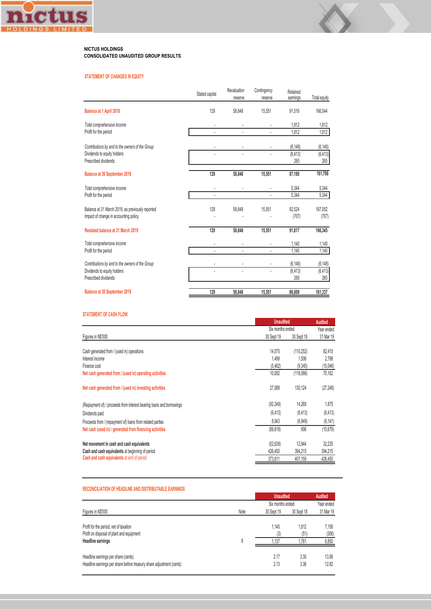

#### **NICTUS HOLDINGS CONSOLIDATED UNAUDITED GROUP RESULTS**

#### **STATEMENT OF CHANGES IN EQUITY**

|                                                                                           | Stated capital | Revaluation<br>reserve | Contingency<br>reserve | Retained<br>earnings | Total equity     |
|-------------------------------------------------------------------------------------------|----------------|------------------------|------------------------|----------------------|------------------|
| Balance at 1 April 2018                                                                   | 129            | 58,848                 | 15,551                 | 91,516               | 166,044          |
| Total comprehensive income                                                                |                |                        |                        | 1,812                | 1,812            |
| Profit for the period                                                                     |                |                        |                        | 1.812                | 1,812            |
| Contributions by and to the owners of the Group                                           |                |                        |                        | (6, 148)             | (6, 148)         |
| Dividends to equity holders<br>Prescribed dividends                                       |                |                        |                        | (6, 413)<br>265      | (6, 413)<br>265  |
| <b>Balance at 30 September 2018</b>                                                       | 129            | 58,848                 | 15,551                 | 87,180               | 161,708          |
| Total comprehensive income<br>Profit for the period                                       |                |                        |                        | 5,344                | 5,344            |
|                                                                                           |                |                        |                        | 5,344                | 5,344            |
| Balance at 31 March 2019, as previously reported<br>Impact of change in accounting policy | 129            | 58,848                 | 15,551                 | 92,524<br>(707)      | 167,052<br>(707) |
| Restated balance at 31 March 2019                                                         | 129            | 58,848                 | 15,551                 | 91,817               | 166,345          |
| Total comprehensive income                                                                |                |                        |                        | 1,140                | 1,140            |
| Profit for the period                                                                     |                |                        |                        | 1,140                | 1,140            |
| Contributions by and to the owners of the Group                                           |                |                        |                        | (6, 148)             | (6, 148)         |
| Dividends to equity holders<br>Prescribed dividends                                       |                |                        |                        | (6, 413)<br>265      | (6, 413)<br>265  |
| <b>Balance at 30 September 2019</b>                                                       | 129            | 58.848                 | 15,551                 | 86,809               | 161,337          |

#### **STATEMENT OF CASH FLOW**

|                                                                      |                  | <b>Unaudited</b> |            |  |  |
|----------------------------------------------------------------------|------------------|------------------|------------|--|--|
|                                                                      | Six months ended |                  | Year ended |  |  |
| Figures in N\$'000                                                   | 30 Sept 19       | 30 Sept 18       | 31 Mar 19  |  |  |
| Cash generated from / (used in) operations                           | 14.075           | (110.252)        | 82,410     |  |  |
| Interest income                                                      | 1.499            | 1,506            | 2,798      |  |  |
| Finance cost                                                         | (5,482)          | (9,340)          | (15,046)   |  |  |
| Net cash generated from / (used in) operating activities             | 10,092           | (118,086)        | 70,162     |  |  |
| Net cash generated from / (used in) investing activities             | 27,088           | 130,124          | (27, 248)  |  |  |
| (Repayment of) / proceeds from interest bearing loans and borrowings | (92, 349)        | 14,268           | 1,875      |  |  |
| Dividends paid                                                       | (6, 413)         | (6, 413)         | (6, 413)   |  |  |
| Proceeds from / (repayment of) loans from related parties            | 8,943            | (6,949)          | (6, 141)   |  |  |
| Net cash (used in) / generated from financing activities             | (89, 819)        | 906              | (10, 679)  |  |  |
| Net movement in cash and cash equivalents                            | (52, 639)        | 12,944           | 32,235     |  |  |
| Cash and cash equivalents at beginning of period                     | 426,450          | 394,215          | 394,215    |  |  |
| Cash and cash equivalents at end of period                           | 373,811          | 407,159          | 426,450    |  |  |
|                                                                      |                  |                  |            |  |  |

#### **RECONCILIATION OF HEADLINE AND DISTRIBUTABLE EARNINGS**

| Figures in N\$'000<br>Profit for the period, net of taxation<br>Profit on disposal of plant and equipment<br>Headline earnings |      | <b>Unaudited</b> | Audited       |                |
|--------------------------------------------------------------------------------------------------------------------------------|------|------------------|---------------|----------------|
|                                                                                                                                |      | Six months ended |               | Year ended     |
|                                                                                                                                | Note | 30 Sept 19       | 30 Sept 18    | 31 Mar 19      |
|                                                                                                                                | 8    | 1.140<br>(3)     | 1.812<br>(51) | 7.156<br>(306) |
|                                                                                                                                |      | 1.137            | 1.761         | 6,850          |
| Headline earnings per share (cents)<br>Headline earnings per share before treasury share adjustment (cents)                    |      | 2.17<br>2.13     | 3.30<br>3.36  | 13.06<br>12.82 |
|                                                                                                                                |      |                  |               |                |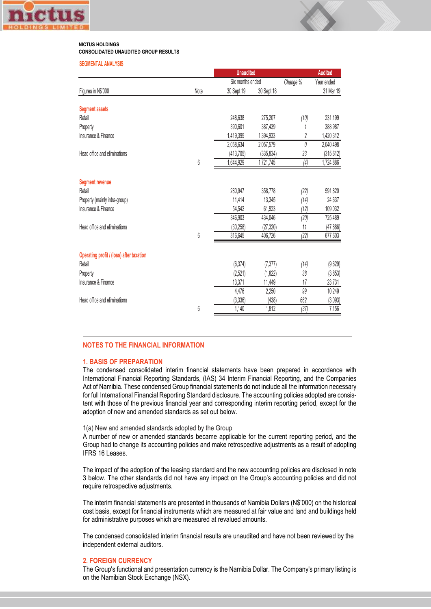

#### **NICTUS HOLDINGS CONSOLIDATED UNAUDITED GROUP RESULTS**

#### **SEGMENTAL ANALYSIS**

|                                          |      | <b>Unaudited</b> |            |           | <b>Audited</b> |
|------------------------------------------|------|------------------|------------|-----------|----------------|
|                                          |      | Six months ended |            | Change %  | Year ended     |
| Figures in N\$'000                       | Note | 30 Sept 19       | 30 Sept 18 |           | 31 Mar 19      |
| <b>Segment assets</b>                    |      |                  |            |           |                |
| Retail                                   |      | 248,638          | 275,207    | (10)      | 231,199        |
| Property                                 |      | 390,601          | 387,439    | 1         | 388,987        |
| Insurance & Finance                      |      | 1,419,395        | 1,394,933  | $\hat{c}$ | 1,420,312      |
|                                          |      | 2,058,634        | 2,057,579  | 0         | 2,040,498      |
| Head office and eliminations             |      | (413, 705)       | (335, 834) | 23        | (315, 612)     |
|                                          | 6    | 1,644,929        | 1,721,745  | (4)       | 1,724,886      |
| <b>Segment revenue</b>                   |      |                  |            |           |                |
| Retail                                   |      | 280,947          | 358,778    | (22)      | 591,820        |
| Property (mainly intra-group)            |      | 11,414           | 13,345     | (14)      | 24,637         |
| Insurance & Finance                      |      | 54,542           | 61,923     | (12)      | 109,032        |
|                                          |      | 346,903          | 434,046    | (20)      | 725,489        |
| Head office and eliminations             |      | (30, 258)        | (27, 320)  | 11        | (47, 886)      |
|                                          | 6    | 316,645          | 406,726    | (22)      | 677,603        |
| Operating profit / (loss) after taxation |      |                  |            |           |                |
| Retail                                   |      | (6, 374)         | (7, 377)   | (14)      | (9,629)        |
| Property                                 |      | (2,521)          | (1,822)    | 38        | (3,853)        |
| Insurance & Finance                      |      | 13,371           | 11,449     | 17        | 23,731         |
|                                          |      | 4,476            | 2,250      | 99        | 10,249         |
| Head office and eliminations             |      | (3, 336)         | (438)      | 662       | (3,093)        |
|                                          | 6    | 1,140            | 1,812      | (37)      | 7,156          |

#### **NOTES TO THE FINANCIAL INFORMATION**

#### **1. BASIS OF PREPARATION**

The condensed consolidated interim financial statements have been prepared in accordance with International Financial Reporting Standards, (IAS) 34 Interim Financial Reporting, and the Companies Act of Namibia. These condensed Group financial statements do not include all the information necessary for full International Financial Reporting Standard disclosure. The accounting policies adopted are consistent with those of the previous financial year and corresponding interim reporting period, except for the adoption of new and amended standards as set out below.

#### 1(a) New and amended standards adopted by the Group

A number of new or amended standards became applicable for the current reporting period, and the Group had to change its accounting policies and make retrospective adjustments as a result of adopting IFRS 16 Leases.

The impact of the adoption of the leasing standard and the new accounting policies are disclosed in note 3 below. The other standards did not have any impact on the Group's accounting policies and did not require retrospective adjustments.

The interim financial statements are presented in thousands of Namibia Dollars (N\$'000) on the historical cost basis, except for financial instruments which are measured at fair value and land and buildings held for administrative purposes which are measured at revalued amounts.

The condensed consolidated interim financial results are unaudited and have not been reviewed by the independent external auditors.

#### **2. FOREIGN CURRENCY**

The Group's functional and presentation currency is the Namibia Dollar. The Company's primary listing is on the Namibian Stock Exchange (NSX).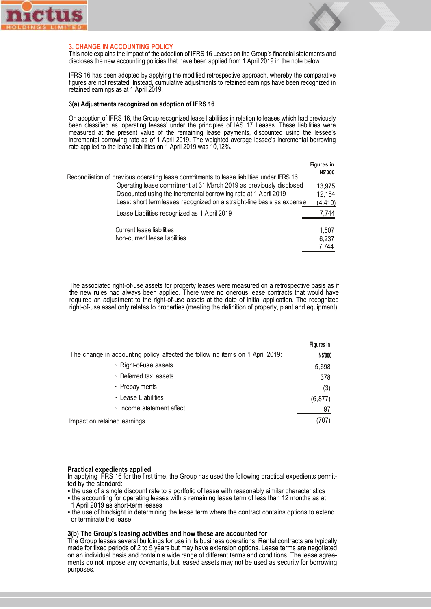



#### **3. CHANGE IN ACCOUNTING POLICY**

This note explains the impact of the adoption of IFRS 16 Leases on the Group's financial statements and discloses the new accounting policies that have been applied from 1 April 2019 in the note below.

IFRS 16 has been adopted by applying the modified retrospective approach, whereby the comparative figures are not restated. Instead, cumulative adjustments to retained earnings have been recognized in retained earnings as at 1 April 2019.

#### **3(a) Adjustments recognized on adoption of IFRS 16**

On adoption of IFRS 16, the Group recognized lease liabilities in relation to leases which had previously been classified as 'operating leases' under the principles of IAS 17 Leases. These liabilities were measured at the present value of the remaining lease payments, discounted using the lessee's incremental borrowing rate as of 1 April 2019. The weighted average lessee's incremental borrowing rate applied to the lease liabilities on 1 April 2019 was 10,12%.

|                                                                                           | Figures in     |
|-------------------------------------------------------------------------------------------|----------------|
| Reconciliation of previous operating lease commitments to lease liabilities under IFRS 16 | <b>N\$'000</b> |
| Operating lease commitment at 31 March 2019 as previously disclosed                       | 13,975         |
| Discounted using the incremental borrow ing rate at 1 April 2019                          | 12,154         |
| Less: short term leases recognized on a straight-line basis as expense                    | (4, 410)       |
| Lease Liabilities recognized as 1 April 2019                                              | 7,744          |
| <b>Current lease liabilities</b>                                                          | 1,507          |
| Non-current lease liabilities                                                             | 6,237          |
|                                                                                           | 7,744          |

The associated right-of-use assets for property leases were measured on a retrospective basis as if the new rules had always been applied. There were no onerous lease contracts that would have required an adjustment to the right-of-use assets at the date of initial application. The recognized right-of-use asset only relates to properties (meeting the definition of property, plant and equipment).

|                                                                               | Figures in |
|-------------------------------------------------------------------------------|------------|
| The change in accounting policy affected the following items on 1 April 2019: | N\$'000    |
| ~ Right-of-use assets                                                         | 5,698      |
| ~ Deferred tax assets                                                         | 378        |
| ~ Prepay ments                                                                | (3)        |
| ~ Lease Liabilities                                                           | (6, 877)   |
| ~ Income statement effect                                                     | 97         |
| Impact on retained earnings                                                   | (707)      |

#### **Practical expedients applied**

In applying IFRS 16 for the first time, the Group has used the following practical expedients permitted by the standard:

- the use of a single discount rate to a portfolio of lease with reasonably similar characteristics
- the accounting for operating leases with a remaining lease term of less than 12 months as at 1 April 2019 as short-term leases
- the use of hindsight in determining the lease term where the contract contains options to extend or terminate the lease.

#### **3(b) The Group's leasing activities and how these are accounted for**

The Group leases several buildings for use in its business operations. Rental contracts are typically made for fixed periods of 2 to 5 years but may have extension options. Lease terms are negotiated on an individual basis and contain a wide range of different terms and conditions. The lease agree- ments do not impose any covenants, but leased assets may not be used as security for borrowing purposes.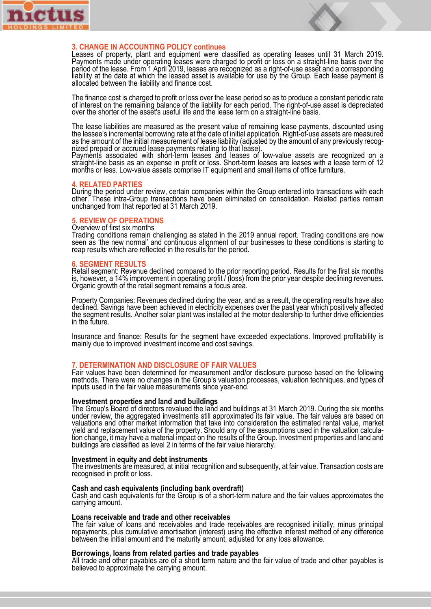



#### **3. CHANGE IN ACCOUNTING POLICY continues**

Leases of property, plant and equipment were classified as operating leases until 31 March 2019. Payments made under operating leases were charged to profit or loss on a straight-line basis over the period of the lease. From 1 April 2019, leases are recognized as a right-of-use asset and a corresponding liability at the date at which the leased asset is available for use by the Group. Each lease payment is allocated between the liability and finance cost.

The finance cost is charged to profit or loss over the lease period so as to produce a constant periodic rate of interest on the remaining balance of the liability for each period. The right-of-use asset is depreciated over the shorter of the asset's useful life and the lease term on a straight-line basis.

 $\overline{a}$ The lease liabilities are measured as the present value of remaining lease payments, discounted using the lessee's incremental borrowing rate at the date of initial application. Right-of-use assets are measured as the amount of the initial measurement of lease liability (adjusted by the amount of any previously recog- nized prepaid or accrued lease payments relating to that lease).

Payments associated with short-term leases and leases of low-value assets are recognized on a straight-line basis as an expense in profit or loss. Short-term leases are leases with a lease term of 12 months or less. Low-value assets comprise IT equipment and small items of office furniture.

#### **4. RELATED PARTIES**

During the period under review, certain companies within the Group entered into transactions with each other. These intra-Group transactions have been eliminated on consolidation. Related parties remain unchanged from that reported at 31 March 2019.

#### **5. REVIEW OF OPERATIONS**

#### Overview of first six months

Trading conditions remain challenging as stated in the 2019 annual report. Trading conditions are now seen as 'the new normal' and continuous alignment of our businesses to these conditions is starting to reap results which are reflected in the results for the period.

#### **6. SEGMENT RESULTS**

Retail segment: Revenue declined compared to the prior reporting period. Results for the first six months is, however, a 14% improvement in operating profit / (loss) from the prior year despite declining revenues. Organic growth of the retail segment remains a focus area.

l Property Companies: Revenues declined during the year, and as a result, the operating results have also declined. Savings have been achieved in electricity expenses over the past year which positively affected the segment results. Another solar plant was installed at the motor dealership to further drive efficiencies in the future.

J Insurance and finance: Results for the segment have exceeded expectations. Improved profitability is mainly due to improved investment income and cost savings.

**7. DETERMINATION AND DISCLOSURE OF FAIR VALUES**<br>Fair values have been determined for measurement and/or disclosure purpose based on the following methods. There were no changes in the Group's valuation processes, valuation techniques, and types of inputs used in the fair value measurements since year-end.

#### **Investment properties and land and buildings**

The Group's Board of directors revalued the land and buildings at 31 March 2019. During the six months under review, the aggregated investments still approximated its fair value. The fair values are based on valuations and other market information that take into consideration the estimated rental value, market yield and replacement value of the property. Should any of the assumptions used in the valuation calcula- tion change, it may have a material impact on the results of the Group. Investment properties and land and buildings are classified as level 2 in terms of the fair value hierarchy.

#### l, **Investment in equity and debt instruments**

The investments are measured, at initial recognition and subsequently, at fair value. Transaction costs are recognised in profit or loss.

#### **Cash and cash equivalents (including bank overdraft)**

Cash and cash equivalents for the Group is of a short-term nature and the fair values approximates the carrying amount.

#### l, **Loans receivable and trade and other receivables**

The fair value of loans and receivables and trade receivables are recognised initially, minus principal repayments, plus cumulative amortisation (interest) using the effective interest method of any difference between the initial amount and the maturity amount, adjusted for any loss allowance.

**Borrowings, loans from related parties and trade payables**<br>All trade and other payables are of a short term nature and the fair value of trade and other payables is believed to approximate the carrying amount.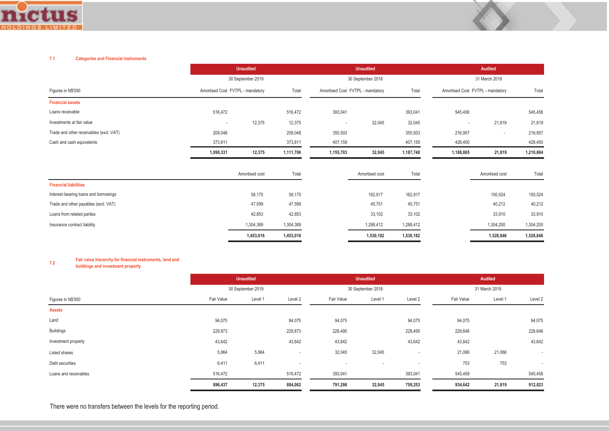

#### **7.1 Categories and Financial instruments**

|                                         |                                  | <b>Unaudited</b>  |           |                          | <b>Unaudited</b>                          |           |                | Audited                          |           |  |
|-----------------------------------------|----------------------------------|-------------------|-----------|--------------------------|-------------------------------------------|-----------|----------------|----------------------------------|-----------|--|
|                                         |                                  | 30 September 2019 |           |                          | 30 September 2018                         |           |                | 31 March 2019                    |           |  |
| Figures in N\$'000                      | Amortised Cost FVTPL - mandatory |                   | Total     |                          | Amortised Cost FVTPL - mandatory<br>Total |           |                | Amortised Cost FVTPL - mandatory |           |  |
| <b>Financial assets</b>                 |                                  |                   |           |                          |                                           |           |                |                                  |           |  |
| Loans receivable                        | 516,472                          |                   | 516,472   | 393,041                  |                                           | 393,041   | 545,458        |                                  | 545,458   |  |
| Investments at fair value               | $\overline{\phantom{a}}$         | 12,375            | 12,375    | $\overline{\phantom{a}}$ | 32,045                                    | 32,045    | $\overline{a}$ | 21,819                           | 21,819    |  |
| Trade and other receivables (excl. VAT) | 209,048                          |                   | 209,048   | 355,503                  |                                           | 355,503   | 216,957        | $\overline{\phantom{a}}$         | 216,957   |  |
| Cash and cash equivalents               | 373,811                          |                   | 373,811   | 407,159                  |                                           | 407,159   | 426,450        |                                  | 426,450   |  |
|                                         | 1,099,331                        | 12,375            | 1,111,706 | 1,155,703                | 32,045                                    | 1,187,748 | 1,188,865      | 21,819                           | 1,210,684 |  |
|                                         |                                  | Amortised cost    | Total     |                          | Amortised cost                            | Total     |                | Amortised cost                   | Total     |  |
| <b>Financial liabilities</b>            |                                  |                   |           |                          |                                           |           |                |                                  |           |  |
| Interest-bearing loans and borrowings   |                                  | 58,175            | 58,175    |                          | 162,917                                   | 162,917   |                | 150,524                          | 150,524   |  |
| Trade and other payables (excl. VAT)    |                                  | 47,599            | 47,599    |                          | 45,751                                    | 45,751    |                | 40,212                           | 40,212    |  |
| Loans from related parties              |                                  | 42,853            | 42,853    |                          | 33,102                                    | 33,102    |                | 33,910                           | 33,910    |  |
| Insurance contract liability            |                                  | 1,304,389         | 1,304,389 |                          | 1,288,412                                 | 1,288,412 |                | 1,304,200                        | 1,304,200 |  |
|                                         |                                  | 1,453,016         | 1,453,016 |                          | 1,530,182                                 | 1,530,182 |                | 1,528,846                        | 1,528,846 |  |

## **7.2 Fair value hierarchy for financial instruments, land and buildings and investment property**

|                       | <b>Unaudited</b> |                   |                          | <b>Unaudited</b>         |                          |                          | <b>Audited</b> |               |                          |  |
|-----------------------|------------------|-------------------|--------------------------|--------------------------|--------------------------|--------------------------|----------------|---------------|--------------------------|--|
|                       |                  | 30 September 2019 |                          |                          | 30 September 2018        |                          |                | 31 March 2019 |                          |  |
| Figures in N\$'000    | Fair Value       | Level 1           | Level 2                  | Fair Value               | Level 1                  | Level 2                  | Fair Value     | Level 1       | Level 2                  |  |
| <b>Assets</b>         |                  |                   |                          |                          |                          |                          |                |               |                          |  |
| Land                  | 94,075           |                   | 94,075                   | 94,075                   |                          | 94,075                   | 94,075         |               | 94,075                   |  |
| <b>Buildings</b>      | 229,873          |                   | 229,873                  | 228,495                  |                          | 228,495                  | 229,648        |               | 229,648                  |  |
| Investment property   | 43,642           |                   | 43,642                   | 43,642                   |                          | 43,642                   | 43,642         |               | 43,642                   |  |
| Listed shares         | 5,964            | 5,964             | $\overline{\phantom{a}}$ | 32,045                   | 32,045                   | $\overline{\phantom{a}}$ | 21,066         | 21,066        | $\overline{\phantom{a}}$ |  |
| Debt securities       | 6,411            | 6,411             | $\overline{\phantom{a}}$ | $\overline{\phantom{a}}$ | $\overline{\phantom{a}}$ | $\overline{\phantom{a}}$ | 753            | 753           | $\overline{\phantom{a}}$ |  |
| Loans and receivables | 516,472          |                   | 516,472                  | 393,041                  |                          | 393,041                  | 545,458        |               | 545,458                  |  |
|                       | 896,437          | 12,375            | 884,062                  | 791,298                  | 32,045                   | 759,253                  | 934,642        | 21,819        | 912,823                  |  |

There were no transfers between the levels for the reporting period.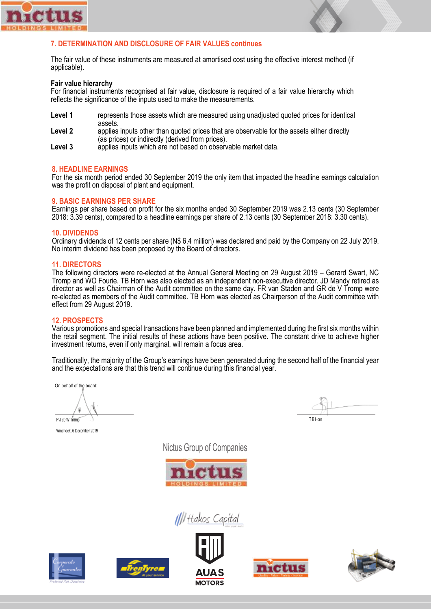

### **7. DETERMINATION AND DISCLOSURE OF FAIR VALUES continues**

The fair value of these instruments are measured at amortised cost using the effective interest method (if applicable).

#### **Fair value hierarchy**

For financial instruments recognised at fair value, disclosure is required of a fair value hierarchy which reflects the significance of the inputs used to make the measurements.

- **Level 1** represents those assets which are measured using unadjusted quoted prices for identical assets.<br>Level 2 applies
- **Level 2** applies inputs other than quoted prices that are observable for the assets either directly (as prices) or indirectly (derived from prices).<br>Level 3 applies inputs which are not based on observ
- **Level 3** applies inputs which are not based on observable market data.

#### **8. HEADLINE EARNINGS**

For the six month period ended 30 September 2019 the only item that impacted the headline earnings calculation was the profit on disposal of plant and equipment.

#### **9. BASIC EARNINGS PER SHARE**

Earnings per share based on profit for the six months ended 30 September 2019 was 2.13 cents (30 September 2018: 3.39 cents), compared to a headline earnings per share of 2.13 cents (30 September 2018: 3.30 cents).

#### **10. DIVIDENDS**

Ordinary dividends of 12 cents per share (N\$ 6,4 million) was declared and paid by the Company on 22 July 2019. No interim dividend has been proposed by the Board of directors.

#### **11. DIRECTORS**

The following directors were re-elected at the Annual General Meeting on 29 August 2019 – Gerard Swart, NC Tromp and WO Fourie. TB Horn was also elected as an independent non-executive director. JD Mandy retired as director as well as Chairman of the Audit committee on the same day. FR van Staden and GR de V Tromp were re-elected as members of the Audit committee. TB Horn was elected as Chairperson of the Audit committee with effect from 29 August 2019.

#### **12. PROSPECTS**

Various promotions and special transactions have been planned and implemented during the first six months within the retail segment. The initial results of these actions have been positive. The constant drive to achieve higher investment returns, even if only marginal, will remain a focus area.

Traditionally, the majority of the Group's earnings have been generated during the second half of the financial year and the expectations are that this trend will continue during this financial year.

On behalf of the board:

P J de W Tromp

Windhoek, 6 December 2019

Nictus Group of Companies



IIII Hakos Capital





T B Horn